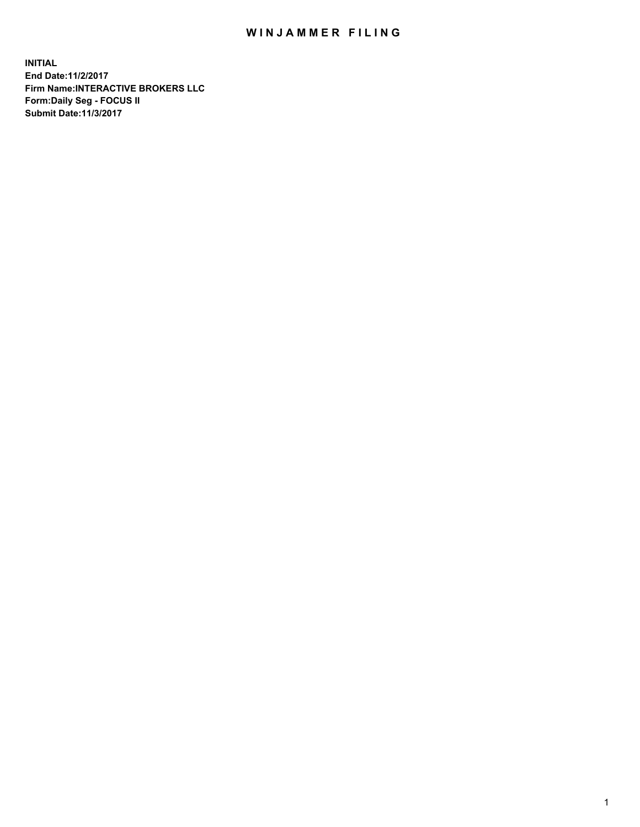## WIN JAMMER FILING

**INITIAL End Date:11/2/2017 Firm Name:INTERACTIVE BROKERS LLC Form:Daily Seg - FOCUS II Submit Date:11/3/2017**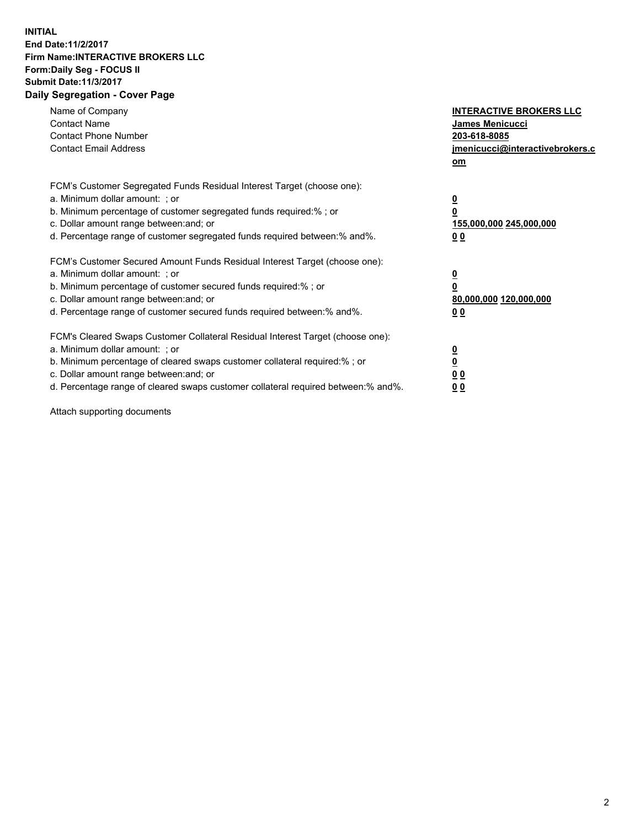## **INITIAL End Date:11/2/2017 Firm Name:INTERACTIVE BROKERS LLC Form:Daily Seg - FOCUS II Submit Date:11/3/2017 Daily Segregation - Cover Page**

| Name of Company<br><b>Contact Name</b><br><b>Contact Phone Number</b><br><b>Contact Email Address</b>                                                                                                                                                                                                                          | <b>INTERACTIVE BROKERS LLC</b><br><b>James Menicucci</b><br>203-618-8085<br>jmenicucci@interactivebrokers.c<br>om |
|--------------------------------------------------------------------------------------------------------------------------------------------------------------------------------------------------------------------------------------------------------------------------------------------------------------------------------|-------------------------------------------------------------------------------------------------------------------|
| FCM's Customer Segregated Funds Residual Interest Target (choose one):<br>a. Minimum dollar amount: ; or<br>b. Minimum percentage of customer segregated funds required:%; or<br>c. Dollar amount range between: and; or<br>d. Percentage range of customer segregated funds required between:% and%.                          | $\overline{\mathbf{0}}$<br>0<br>155,000,000 245,000,000<br>0 <sub>0</sub>                                         |
| FCM's Customer Secured Amount Funds Residual Interest Target (choose one):<br>a. Minimum dollar amount: ; or<br>b. Minimum percentage of customer secured funds required:%; or<br>c. Dollar amount range between: and; or<br>d. Percentage range of customer secured funds required between: % and %.                          | $\overline{\mathbf{0}}$<br>0<br>80,000,000 120,000,000<br>0 <sub>0</sub>                                          |
| FCM's Cleared Swaps Customer Collateral Residual Interest Target (choose one):<br>a. Minimum dollar amount: ; or<br>b. Minimum percentage of cleared swaps customer collateral required:% ; or<br>c. Dollar amount range between: and; or<br>d. Percentage range of cleared swaps customer collateral required between:% and%. | $\overline{\mathbf{0}}$<br>$\overline{\mathbf{0}}$<br>0 <sub>0</sub><br><u>00</u>                                 |

Attach supporting documents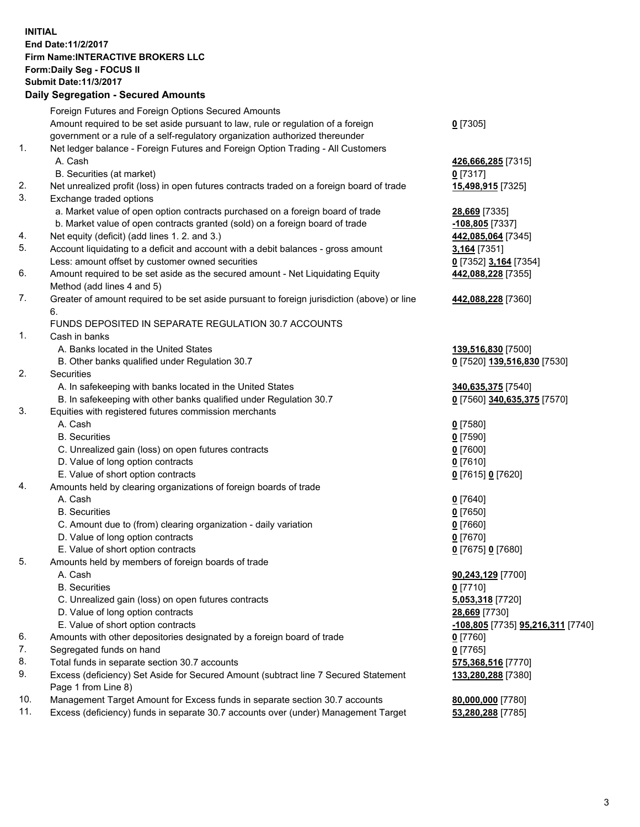## **INITIAL End Date:11/2/2017 Firm Name:INTERACTIVE BROKERS LLC Form:Daily Seg - FOCUS II Submit Date:11/3/2017**

|     | <b>Daily Segregation - Secured Amounts</b>                                                  |                                   |
|-----|---------------------------------------------------------------------------------------------|-----------------------------------|
|     | Foreign Futures and Foreign Options Secured Amounts                                         |                                   |
|     | Amount required to be set aside pursuant to law, rule or regulation of a foreign            | $0$ [7305]                        |
|     | government or a rule of a self-regulatory organization authorized thereunder                |                                   |
| 1.  | Net ledger balance - Foreign Futures and Foreign Option Trading - All Customers             |                                   |
|     | A. Cash                                                                                     | 426,666,285 [7315]                |
|     | B. Securities (at market)                                                                   | $0$ [7317]                        |
| 2.  | Net unrealized profit (loss) in open futures contracts traded on a foreign board of trade   | 15,498,915 [7325]                 |
| 3.  | Exchange traded options                                                                     |                                   |
|     | a. Market value of open option contracts purchased on a foreign board of trade              | 28,669 [7335]                     |
|     | b. Market value of open contracts granted (sold) on a foreign board of trade                | -108,805 [7337]                   |
| 4.  | Net equity (deficit) (add lines 1.2. and 3.)                                                | 442,085,064 [7345]                |
| 5.  | Account liquidating to a deficit and account with a debit balances - gross amount           | 3,164 [7351]                      |
|     | Less: amount offset by customer owned securities                                            | 0 [7352] 3,164 [7354]             |
| 6.  | Amount required to be set aside as the secured amount - Net Liquidating Equity              | 442,088,228 [7355]                |
|     | Method (add lines 4 and 5)                                                                  |                                   |
| 7.  | Greater of amount required to be set aside pursuant to foreign jurisdiction (above) or line | 442,088,228 [7360]                |
|     | 6.                                                                                          |                                   |
|     | FUNDS DEPOSITED IN SEPARATE REGULATION 30.7 ACCOUNTS                                        |                                   |
| 1.  | Cash in banks                                                                               |                                   |
|     | A. Banks located in the United States                                                       | 139,516,830 [7500]                |
|     | B. Other banks qualified under Regulation 30.7                                              | 0 [7520] 139,516,830 [7530]       |
| 2.  | Securities                                                                                  |                                   |
|     | A. In safekeeping with banks located in the United States                                   | 340,635,375 [7540]                |
| 3.  | B. In safekeeping with other banks qualified under Regulation 30.7                          | 0 [7560] 340,635,375 [7570]       |
|     | Equities with registered futures commission merchants<br>A. Cash                            |                                   |
|     | <b>B.</b> Securities                                                                        | $0$ [7580]<br>$0$ [7590]          |
|     | C. Unrealized gain (loss) on open futures contracts                                         | $0$ [7600]                        |
|     | D. Value of long option contracts                                                           | $0$ [7610]                        |
|     | E. Value of short option contracts                                                          | 0 [7615] 0 [7620]                 |
| 4.  | Amounts held by clearing organizations of foreign boards of trade                           |                                   |
|     | A. Cash                                                                                     | $0$ [7640]                        |
|     | <b>B.</b> Securities                                                                        | $0$ [7650]                        |
|     | C. Amount due to (from) clearing organization - daily variation                             | $0$ [7660]                        |
|     | D. Value of long option contracts                                                           | $0$ [7670]                        |
|     | E. Value of short option contracts                                                          | 0 [7675] 0 [7680]                 |
| 5.  | Amounts held by members of foreign boards of trade                                          |                                   |
|     | A. Cash                                                                                     | 90,243,129 [7700]                 |
|     | <b>B.</b> Securities                                                                        | $0$ [7710]                        |
|     | C. Unrealized gain (loss) on open futures contracts                                         | 5,053,318 [7720]                  |
|     | D. Value of long option contracts                                                           | 28,669 [7730]                     |
|     | E. Value of short option contracts                                                          | -108,805 [7735] 95,216,311 [7740] |
| 6.  | Amounts with other depositories designated by a foreign board of trade                      | 0 [7760]                          |
| 7.  | Segregated funds on hand                                                                    | $0$ [7765]                        |
| 8.  | Total funds in separate section 30.7 accounts                                               | 575,368,516 [7770]                |
| 9.  | Excess (deficiency) Set Aside for Secured Amount (subtract line 7 Secured Statement         | 133,280,288 [7380]                |
|     | Page 1 from Line 8)                                                                         |                                   |
| 10. | Management Target Amount for Excess funds in separate section 30.7 accounts                 | 80,000,000 [7780]                 |
| 11. | Excess (deficiency) funds in separate 30.7 accounts over (under) Management Target          | 53,280,288 [7785]                 |
|     |                                                                                             |                                   |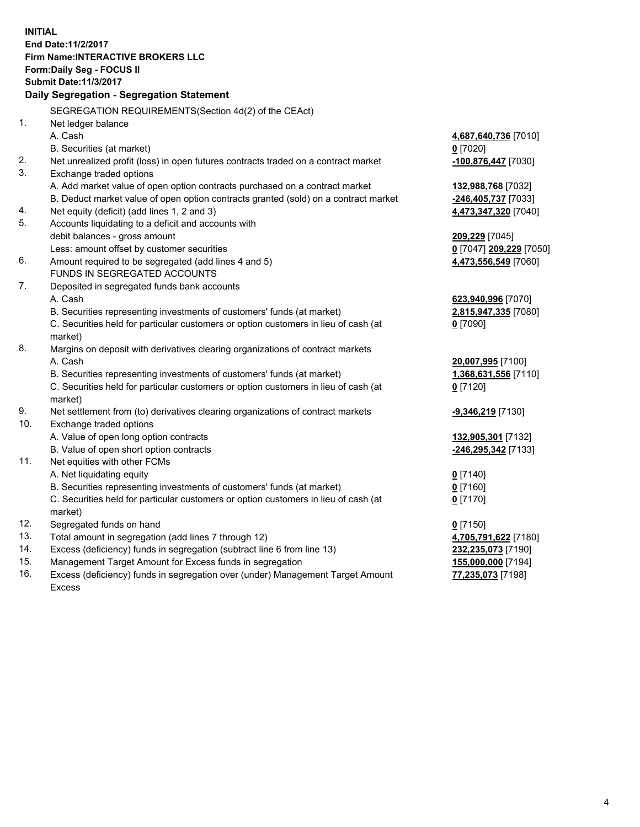**INITIAL End Date:11/2/2017 Firm Name:INTERACTIVE BROKERS LLC Form:Daily Seg - FOCUS II Submit Date:11/3/2017 Daily Segregation - Segregation Statement** SEGREGATION REQUIREMENTS(Section 4d(2) of the CEAct) 1. Net ledger balance A. Cash **4,687,640,736** [7010] B. Securities (at market) **0** [7020] 2. Net unrealized profit (loss) in open futures contracts traded on a contract market **-100,876,447** [7030] 3. Exchange traded options A. Add market value of open option contracts purchased on a contract market **132,988,768** [7032] B. Deduct market value of open option contracts granted (sold) on a contract market **-246,405,737** [7033] 4. Net equity (deficit) (add lines 1, 2 and 3) **4,473,347,320** [7040] 5. Accounts liquidating to a deficit and accounts with debit balances - gross amount **209,229** [7045] Less: amount offset by customer securities **0** [7047] **209,229** [7050] 6. Amount required to be segregated (add lines 4 and 5) **4,473,556,549** [7060] FUNDS IN SEGREGATED ACCOUNTS 7. Deposited in segregated funds bank accounts A. Cash **623,940,996** [7070] B. Securities representing investments of customers' funds (at market) **2,815,947,335** [7080] C. Securities held for particular customers or option customers in lieu of cash (at market) **0** [7090] 8. Margins on deposit with derivatives clearing organizations of contract markets A. Cash **20,007,995** [7100] B. Securities representing investments of customers' funds (at market) **1,368,631,556** [7110] C. Securities held for particular customers or option customers in lieu of cash (at market) **0** [7120] 9. Net settlement from (to) derivatives clearing organizations of contract markets **-9,346,219** [7130] 10. Exchange traded options A. Value of open long option contracts **132,905,301** [7132] B. Value of open short option contracts **-246,295,342** [7133] 11. Net equities with other FCMs A. Net liquidating equity **0** [7140] B. Securities representing investments of customers' funds (at market) **0** [7160] C. Securities held for particular customers or option customers in lieu of cash (at market) **0** [7170] 12. Segregated funds on hand **0** [7150] 13. Total amount in segregation (add lines 7 through 12) **4,705,791,622** [7180] 14. Excess (deficiency) funds in segregation (subtract line 6 from line 13) **232,235,073** [7190] 15. Management Target Amount for Excess funds in segregation **155,000,000** [7194]

16. Excess (deficiency) funds in segregation over (under) Management Target Amount Excess

**77,235,073** [7198]